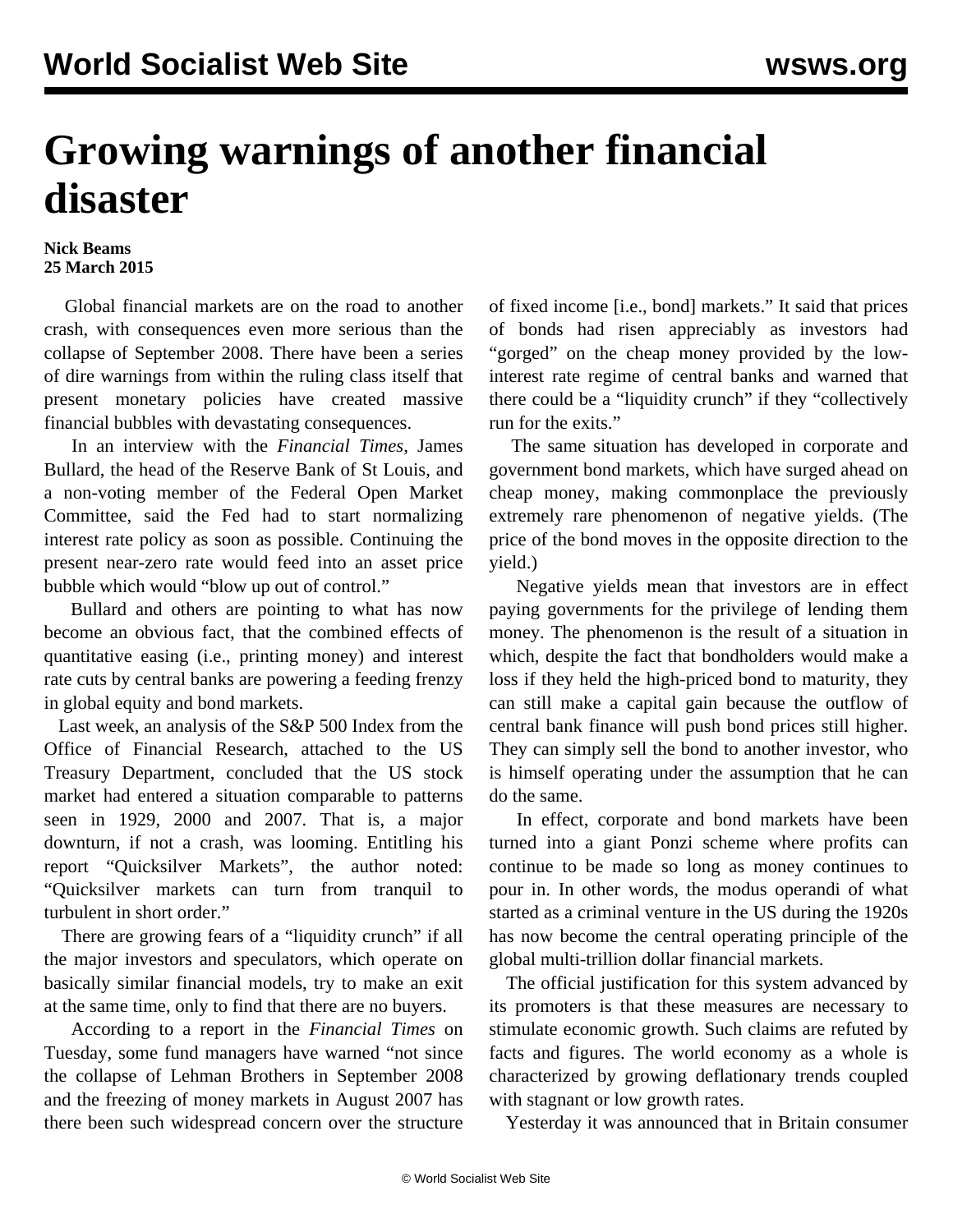## **Growing warnings of another financial disaster**

## **Nick Beams 25 March 2015**

 Global financial markets are on the road to another crash, with consequences even more serious than the collapse of September 2008. There have been a series of dire warnings from within the ruling class itself that present monetary policies have created massive financial bubbles with devastating consequences.

 In an interview with the *Financial Times*, James Bullard, the head of the Reserve Bank of St Louis, and a non-voting member of the Federal Open Market Committee, said the Fed had to start normalizing interest rate policy as soon as possible. Continuing the present near-zero rate would feed into an asset price bubble which would "blow up out of control."

 Bullard and others are pointing to what has now become an obvious fact, that the combined effects of quantitative easing (i.e., printing money) and interest rate cuts by central banks are powering a feeding frenzy in global equity and bond markets.

 Last week, an analysis of the S&P 500 Index from the Office of Financial Research, attached to the US Treasury Department, concluded that the US stock market had entered a situation comparable to patterns seen in 1929, 2000 and 2007. That is, a major downturn, if not a crash, was looming. Entitling his report "Quicksilver Markets", the author noted: "Quicksilver markets can turn from tranquil to turbulent in short order."

 There are growing fears of a "liquidity crunch" if all the major investors and speculators, which operate on basically similar financial models, try to make an exit at the same time, only to find that there are no buyers.

 According to a report in the *Financial Times* on Tuesday, some fund managers have warned "not since the collapse of Lehman Brothers in September 2008 and the freezing of money markets in August 2007 has there been such widespread concern over the structure

of fixed income [i.e., bond] markets." It said that prices of bonds had risen appreciably as investors had "gorged" on the cheap money provided by the lowinterest rate regime of central banks and warned that there could be a "liquidity crunch" if they "collectively run for the exits."

 The same situation has developed in corporate and government bond markets, which have surged ahead on cheap money, making commonplace the previously extremely rare phenomenon of negative yields. (The price of the bond moves in the opposite direction to the yield.)

 Negative yields mean that investors are in effect paying governments for the privilege of lending them money. The phenomenon is the result of a situation in which, despite the fact that bondholders would make a loss if they held the high-priced bond to maturity, they can still make a capital gain because the outflow of central bank finance will push bond prices still higher. They can simply sell the bond to another investor, who is himself operating under the assumption that he can do the same.

 In effect, corporate and bond markets have been turned into a giant Ponzi scheme where profits can continue to be made so long as money continues to pour in. In other words, the modus operandi of what started as a criminal venture in the US during the 1920s has now become the central operating principle of the global multi-trillion dollar financial markets.

 The official justification for this system advanced by its promoters is that these measures are necessary to stimulate economic growth. Such claims are refuted by facts and figures. The world economy as a whole is characterized by growing deflationary trends coupled with stagnant or low growth rates.

Yesterday it was announced that in Britain consumer